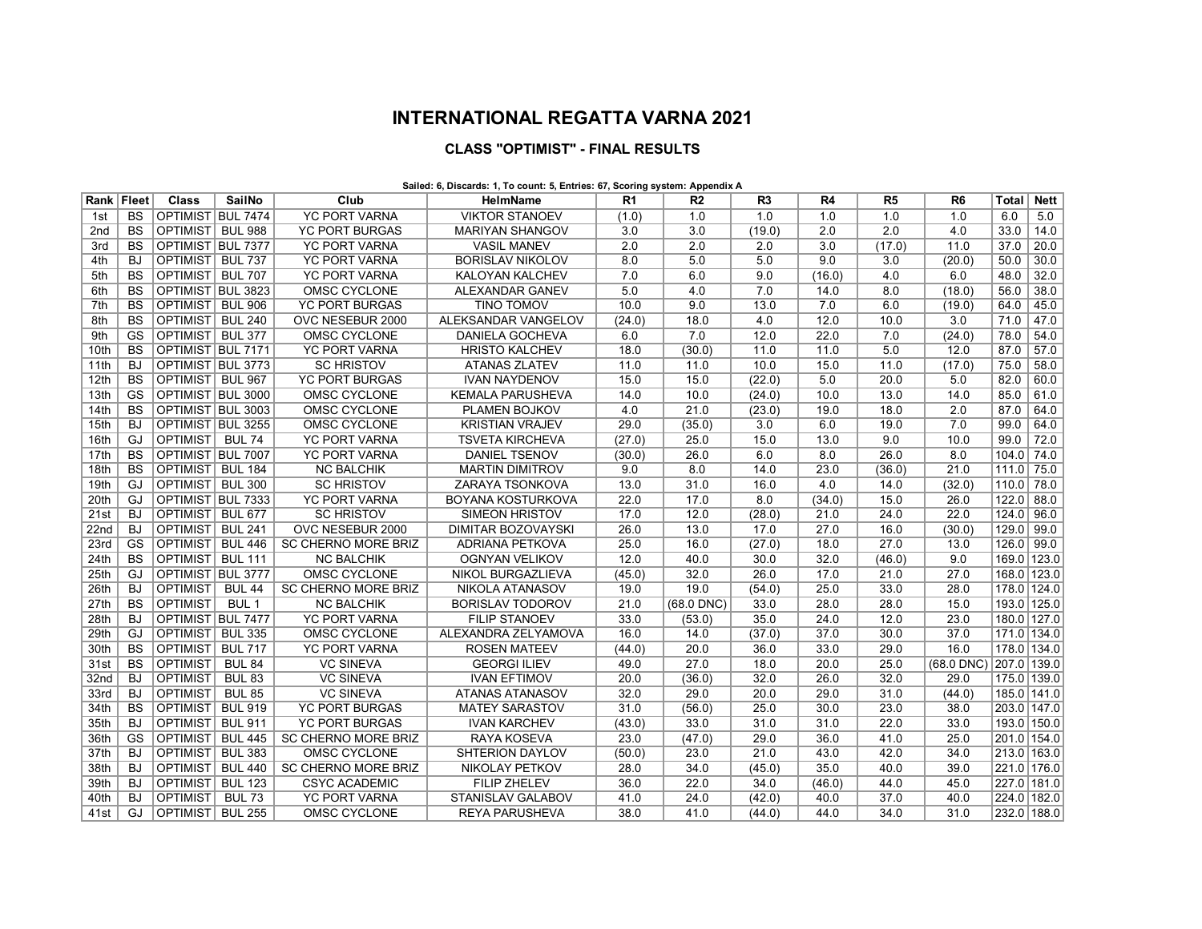## **INTERNATIONAL REGATTA VARNA 2021**

## **CLASS "OPTIMIST" - FINAL RESULTS**

## **Sailed: 6, Discards: 1, To count: 5, Entries: 67, Scoring system: Appendix A**

| Rank   Fleet    |                 | Class                   | SailNo           | Club                       | HelmName                 | R <sub>1</sub> | R <sub>2</sub> | R <sub>3</sub> | R4     | R <sub>5</sub>   | R <sub>6</sub>   | Total       | Nett        |
|-----------------|-----------------|-------------------------|------------------|----------------------------|--------------------------|----------------|----------------|----------------|--------|------------------|------------------|-------------|-------------|
| 1st             | <b>BS</b>       | OPTIMIST BUL 7474       |                  | <b>YC PORT VARNA</b>       | <b>VIKTOR STANOEV</b>    | (1.0)          | 1.0            | 1.0            | 1.0    | 1.0              | 1.0              | 6.0         | 5.0         |
| 2 <sub>nd</sub> | <b>BS</b>       | OPTIMIST   BUL 988      |                  | <b>YC PORT BURGAS</b>      | <b>MARIYAN SHANGOV</b>   | 3.0            | 3.0            | (19.0)         | 2.0    | 2.0              | 4.0              | 33.0        | 14.0        |
| 3rd             | <b>BS</b>       | OPTIMIST BUL 7377       |                  | <b>YC PORT VARNA</b>       | <b>VASIL MANEV</b>       | 2.0            | 2.0            | 2.0            | 3.0    | (17.0)           | 11.0             | 37.0        | 20.0        |
| 4th             | BJ              | OPTIMIST BUL 737        |                  | <b>YC PORT VARNA</b>       | <b>BORISLAV NIKOLOV</b>  | 8.0            | 5.0            | 5.0            | 9.0    | $\overline{3.0}$ | (20.0)           | 50.0        | 30.0        |
| 5th             | $\overline{BS}$ | OPTIMIST BUL 707        |                  | <b>YC PORT VARNA</b>       | <b>KALOYAN KALCHEV</b>   | 7.0            | 6.0            | 9.0            | (16.0) | 4.0              | 6.0              | 48.0        | 32.0        |
| 6th             | <b>BS</b>       | OPTIMIST BUL 3823       |                  | OMSC CYCLONE               | ALEXANDAR GANEV          | 5.0            | 4.0            | 7.0            | 14.0   | 8.0              | (18.0)           | 56.0        | 38.0        |
| 7th             | <b>BS</b>       | OPTIMIST   BUL 906      |                  | <b>YC PORT BURGAS</b>      | <b>TINO TOMOV</b>        | 10.0           | 9.0            | 13.0           | 7.0    | 6.0              | (19.0)           | 64.0        | 45.0        |
| 8th             | <b>BS</b>       | <b>OPTIMIST</b>         | <b>BUL 240</b>   | OVC NESEBUR 2000           | ALEKSANDAR VANGELOV      | (24.0)         | 18.0           | 4.0            | 12.0   | 10.0             | 3.0              | 71.0        | 47.0        |
| 9th             | GS              | <b>OPTIMIST BUL 377</b> |                  | OMSC CYCLONE               | <b>DANIELA GOCHEVA</b>   | 6.0            | 7.0            | 12.0           | 22.0   | 7.0              | (24.0)           | 78.0        | 54.0        |
| 10th            | $\overline{BS}$ | OPTIMIST BUL 7171       |                  | <b>YC PORT VARNA</b>       | <b>HRISTO KALCHEV</b>    | 18.0           | (30.0)         | 11.0           | 11.0   | 5.0              | 12.0             | 87.0        | 57.0        |
| 11th            | BJ.             | OPTIMIST BUL 3773       |                  | <b>SC HRISTOV</b>          | <b>ATANAS ZLATEV</b>     | 11.0           | 11.0           | 10.0           | 15.0   | 11.0             | (17.0)           | 75.0        | 58.0        |
| 12th            | <b>BS</b>       | OPTIMIST BUL 967        |                  | <b>YC PORT BURGAS</b>      | <b>IVAN NAYDENOV</b>     | 15.0           | 15.0           | (22.0)         | 5.0    | 20.0             | 5.0              | 82.0        | 60.0        |
| 13th            | GS              | OPTIMIST BUL 3000       |                  | OMSC CYCLONE               | <b>KEMALA PARUSHEVA</b>  | 14.0           | 10.0           | (24.0)         | 10.0   | 13.0             | 14.0             | 85.0        | 61.0        |
| 14th            | $\overline{BS}$ | OPTIMIST BUL 3003       |                  | OMSC CYCLONE               | PLAMEN BOJKOV            | 4.0            | 21.0           | (23.0)         | 19.0   | 18.0             | $\overline{2.0}$ | 87.0        | 64.0        |
| 15th            | <b>BJ</b>       | OPTIMIST BUL 3255       |                  | OMSC CYCLONE               | <b>KRISTIAN VRAJEV</b>   | 29.0           | (35.0)         | 3.0            | 6.0    | 19.0             | 7.0              | 99.0        | 64.0        |
| 16th            | GJ              | OPTIMIST BUL 74         |                  | <b>YC PORT VARNA</b>       | <b>TSVETA KIRCHEVA</b>   | (27.0)         | 25.0           | 15.0           | 13.0   | 9.0              | 10.0             | 99.0        | 72.0        |
| 17th            | <b>BS</b>       | OPTIMIST BUL 7007       |                  | <b>YC PORT VARNA</b>       | <b>DANIEL TSENOV</b>     | (30.0)         | 26.0           | 6.0            | 8.0    | 26.0             | 8.0              | 104.0       | 74.0        |
| 18th            | $\overline{BS}$ | <b>OPTIMIST BUL 184</b> |                  | <b>NC BALCHIK</b>          | <b>MARTIN DIMITROV</b>   | 9.0            | 8.0            | 14.0           | 23.0   | (36.0)           | 21.0             | 111.0       | 75.0        |
| 19th            | GJ              | OPTIMIST                | <b>BUL 300</b>   | <b>SC HRISTOV</b>          | ZARAYA TSONKOVA          | 13.0           | 31.0           | 16.0           | 4.0    | 14.0             | (32.0)           | 110.0       | 78.0        |
| 20th            | GJ              | OPTIMIST BUL 7333       |                  | <b>YC PORT VARNA</b>       | BOYANA KOSTURKOVA        | 22.0           | 17.0           | 8.0            | (34.0) | 15.0             | 26.0             | 122.0       | 88.0        |
| 21st            | <b>BJ</b>       | <b>OPTIMIST</b>         | <b>BUL 677</b>   | <b>SC HRISTOV</b>          | <b>SIMEON HRISTOV</b>    | 17.0           | 12.0           | (28.0)         | 21.0   | 24.0             | 22.0             | 124.0       | 96.0        |
| 22nd            | <b>BJ</b>       | OPTIMIST                | <b>BUL 241</b>   | OVC NESEBUR 2000           | DIMITAR BOZOVAYSKI       | 26.0           | 13.0           | 17.0           | 27.0   | 16.0             | (30.0)           | 129.0       | 99.0        |
| 23rd            | GS              | <b>OPTIMIST</b>         | <b>BUL 446</b>   | <b>SC CHERNO MORE BRIZ</b> | <b>ADRIANA PETKOVA</b>   | 25.0           | 16.0           | (27.0)         | 18.0   | 27.0             | 13.0             | 126.0       | 99.0        |
| 24th            | <b>BS</b>       | <b>OPTIMIST</b>         | <b>BUL 111</b>   | <b>NC BALCHIK</b>          | <b>OGNYAN VELIKOV</b>    | 12.0           | 40.0           | 30.0           | 32.0   | (46.0)           | 9.0              |             | 169.0 123.0 |
| 25th            | GJ              | OPTIMIST BUL 3777       |                  | <b>OMSC CYCLONE</b>        | NIKOL BURGAZLIEVA        | (45.0)         | 32.0           | 26.0           | 17.0   | 21.0             | 27.0             |             | 168.0 123.0 |
| 26th            | BJ.             | <b>OPTIMIST</b>         | <b>BUL 44</b>    | <b>SC CHERNO MORE BRIZ</b> | NIKOLA ATANASOV          | 19.0           | 19.0           | (54.0)         | 25.0   | 33.0             | 28.0             |             | 178.0 124.0 |
| 27th            | <b>BS</b>       | <b>OPTIMIST</b>         | BUL <sub>1</sub> | <b>NC BALCHIK</b>          | <b>BORISLAV TODOROV</b>  | 21.0           | $(68.0$ DNC)   | 33.0           | 28.0   | 28.0             | 15.0             | 193.0 125.0 |             |
| 28th            | <b>BJ</b>       | OPTIMIST BUL 7477       |                  | <b>YC PORT VARNA</b>       | <b>FILIP STANOEV</b>     | 33.0           | (53.0)         | 35.0           | 24.0   | 12.0             | 23.0             |             | 180.0 127.0 |
| 29th            | GJ              | OPTIMIST BUL 335        |                  | <b>OMSC CYCLONE</b>        | ALEXANDRA ZELYAMOVA      | 16.0           | 14.0           | (37.0)         | 37.0   | 30.0             | 37.0             | 171.0 134.0 |             |
| 30th            | $\overline{BS}$ | <b>OPTIMIST</b>         | <b>BUL 717</b>   | <b>YC PORT VARNA</b>       | <b>ROSEN MATEEV</b>      | (44.0)         | 20.0           | 36.0           | 33.0   | 29.0             | 16.0             | 178.0 134.0 |             |
| 31st            | $\overline{BS}$ | <b>OPTIMIST</b>         | <b>BUL 84</b>    | <b>VC SINEVA</b>           | <b>GEORGI ILIEV</b>      | 49.0           | 27.0           | 18.0           | 20.0   | 25.0             | $(68.0$ DNC)     | 207.0 139.0 |             |
| 32nd            | BJ              | OPTIMIST                | <b>BUL 83</b>    | <b>VC SINEVA</b>           | <b>IVAN EFTIMOV</b>      | 20.0           | (36.0)         | 32.0           | 26.0   | 32.0             | 29.0             |             | 175.0 139.0 |
| 33rd            | <b>BJ</b>       | <b>OPTIMIST</b>         | <b>BUL 85</b>    | <b>VC SINEVA</b>           | <b>ATANAS ATANASOV</b>   | 32.0           | 29.0           | 20.0           | 29.0   | 31.0             | (44.0)           |             | 185.0 141.0 |
| 34th            | $\overline{BS}$ | OPTIMIST                | <b>BUL 919</b>   | <b>YC PORT BURGAS</b>      | <b>MATEY SARASTOV</b>    | 31.0           | (56.0)         | 25.0           | 30.0   | 23.0             | 38.0             |             | 203.0 147.0 |
| 35th            | BJ              | <b>OPTIMIST</b>         | <b>BUL 911</b>   | <b>YC PORT BURGAS</b>      | <b>IVAN KARCHEV</b>      | (43.0)         | 33.0           | 31.0           | 31.0   | 22.0             | 33.0             |             | 193.0 150.0 |
| 36th            | <b>GS</b>       | OPTIMIST I              | <b>BUL 445</b>   | <b>SC CHERNO MORE BRIZ</b> | RAYA KOSEVA              | 23.0           | (47.0)         | 29.0           | 36.0   | 41.0             | 25.0             | 201.0 154.0 |             |
| 37th            | <b>BJ</b>       | <b>OPTIMIST</b>         | <b>BUL 383</b>   | OMSC CYCLONE               | SHTERION DAYLOV          | (50.0)         | 23.0           | 21.0           | 43.0   | 42.0             | 34.0             | 213.0 163.0 |             |
| 38th            | <b>BJ</b>       | <b>OPTIMIST</b>         | <b>BUL 440</b>   | <b>SC CHERNO MORE BRIZ</b> | <b>NIKOLAY PETKOV</b>    | 28.0           | 34.0           | (45.0)         | 35.0   | 40.0             | 39.0             | 221.0 176.0 |             |
| 39th            | <b>BJ</b>       | <b>OPTIMIST</b>         | <b>BUL 123</b>   | <b>CSYC ACADEMIC</b>       | <b>FILIP ZHELEV</b>      | 36.0           | 22.0           | 34.0           | (46.0) | 44.0             | 45.0             | 227.0 181.0 |             |
| 40th            | BJ.             | <b>OPTIMIST</b>         | <b>BUL 73</b>    | <b>YC PORT VARNA</b>       | <b>STANISLAV GALABOV</b> | 41.0           | 24.0           | (42.0)         | 40.0   | 37.0             | 40.0             | 224.0 182.0 |             |
| 41st            | GJ              | OPTIMIST BUL 255        |                  | OMSC CYCLONE               | <b>REYA PARUSHEVA</b>    | 38.0           | 41.0           | (44.0)         | 44.0   | 34.0             | 31.0             |             | 232.0 188.0 |